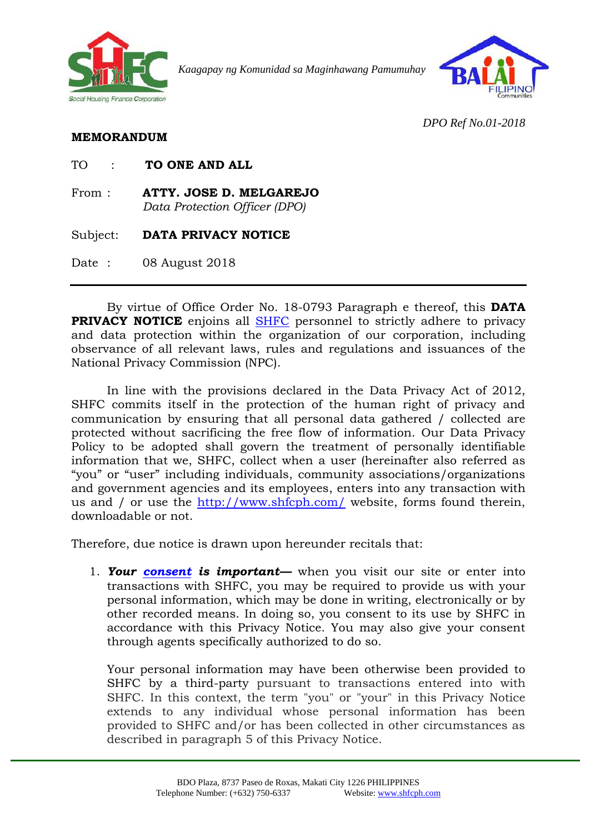

*Kaagapay ng Komunidad sa Maginhawang Pamumuhay*



*DPO Ref No.01-2018*

## **MEMORANDUM**

| TO ONE AND ALL<br>TО |  |
|----------------------|--|
|----------------------|--|

From : **ATTY. JOSE D. MELGAREJO** *Data Protection Officer (DPO)*

Subject: **DATA PRIVACY NOTICE** 

Date: 08 August 2018

By virtue of Office Order No. 18-0793 Paragraph e thereof, this **DATA PRIVACY NOTICE** enjoins all [SHFC](HL-1.docx) personnel to strictly adhere to privacy and data protection within the organization of our corporation, including observance of all relevant laws, rules and regulations and issuances of the National Privacy Commission (NPC).

In line with the provisions declared in the Data Privacy Act of 2012, SHFC commits itself in the protection of the human right of privacy and communication by ensuring that all personal data gathered / collected are protected without sacrificing the free flow of information. Our Data Privacy Policy to be adopted shall govern the treatment of personally identifiable information that we, SHFC, collect when a user (hereinafter also referred as "you" or "user" including individuals, community associations/organizations and government agencies and its employees, enters into any transaction with us and / or use the<http://www.shfcph.com/> website, forms found therein, downloadable or not.

Therefore, due notice is drawn upon hereunder recitals that:

1. *Your [consent](HL-2.docx) is important—* when you visit our site or enter into transactions with SHFC, you may be required to provide us with your personal information, which may be done in writing, electronically or by other recorded means. In doing so, you consent to its use by SHFC in accordance with this Privacy Notice. You may also give your consent through agents specifically authorized to do so.

Your personal information may have been otherwise been provided to SHFC by a third-party pursuant to transactions entered into with SHFC. In this context, the term "you" or "your" in this Privacy Notice extends to any individual whose personal information has been provided to SHFC and/or has been collected in other circumstances as described in paragraph 5 of this Privacy Notice.

1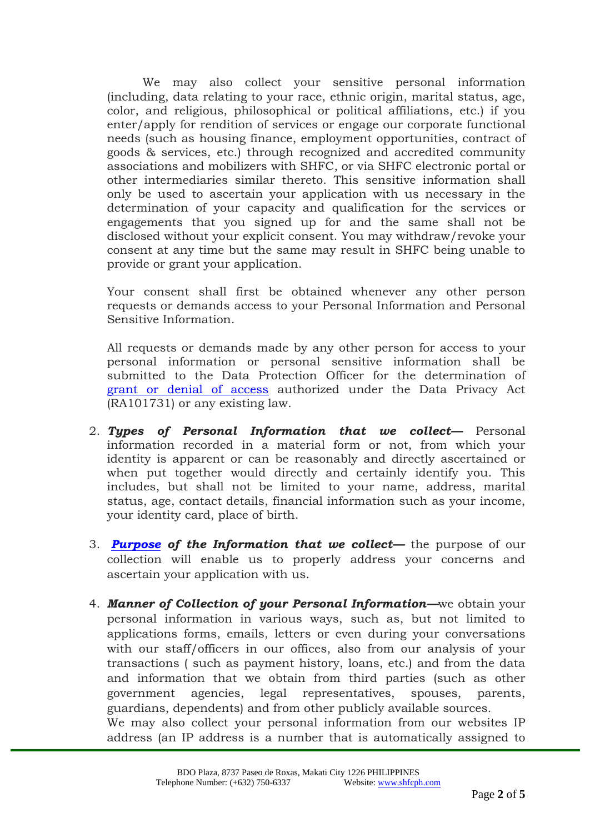We may also collect your sensitive personal information (including, data relating to your race, ethnic origin, marital status, age, color, and religious, philosophical or political affiliations, etc.) if you enter/apply for rendition of services or engage our corporate functional needs (such as housing finance, employment opportunities, contract of goods & services, etc.) through recognized and accredited community associations and mobilizers with SHFC, or via SHFC electronic portal or other intermediaries similar thereto. This sensitive information shall only be used to ascertain your application with us necessary in the determination of your capacity and qualification for the services or engagements that you signed up for and the same shall not be disclosed without your explicit consent. You may withdraw/revoke your consent at any time but the same may result in SHFC being unable to provide or grant your application.

Your consent shall first be obtained whenever any other person requests or demands access to your Personal Information and Personal Sensitive Information.

All requests or demands made by any other person for access to your personal information or personal sensitive information shall be submitted to the Data Protection Officer for the determination of [grant or denial of access](HL-3.docx) authorized under the Data Privacy Act (RA101731) or any existing law.

- 2. *Types of Personal Information that we collect—* Personal information recorded in a material form or not, from which your identity is apparent or can be reasonably and directly ascertained or when put together would directly and certainly identify you. This includes, but shall not be limited to your name, address, marital status, age, contact details, financial information such as your income, your identity card, place of birth.
- 3. *[Purpose](HL-4.docx) of the Information that we collect—* the purpose of our collection will enable us to properly address your concerns and ascertain your application with us.
- 4. *Manner of Collection of your Personal Information—*we obtain your personal information in various ways, such as, but not limited to applications forms, emails, letters or even during your conversations with our staff/officers in our offices, also from our analysis of your transactions ( such as payment history, loans, etc.) and from the data and information that we obtain from third parties (such as other government agencies, legal representatives, spouses, parents, guardians, dependents) and from other publicly available sources. We may also collect your personal information from our websites IP address (an IP address is a number that is automatically assigned to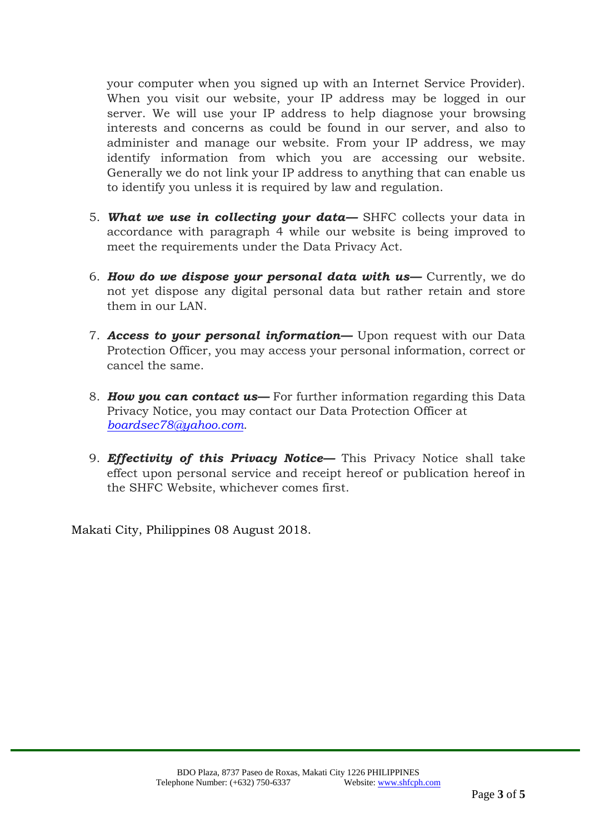your computer when you signed up with an Internet Service Provider). When you visit our website, your IP address may be logged in our server. We will use your IP address to help diagnose your browsing interests and concerns as could be found in our server, and also to administer and manage our website. From your IP address, we may identify information from which you are accessing our website. Generally we do not link your IP address to anything that can enable us to identify you unless it is required by law and regulation.

- 5. *What we use in collecting your data—* SHFC collects your data in accordance with paragraph 4 while our website is being improved to meet the requirements under the Data Privacy Act.
- 6. *How do we dispose your personal data with us—* Currently, we do not yet dispose any digital personal data but rather retain and store them in our LAN.
- 7. *Access to your personal information—* Upon request with our Data Protection Officer, you may access your personal information, correct or cancel the same.
- 8. *How you can contact us—* For further information regarding this Data Privacy Notice, you may contact our Data Protection Officer at *[boardsec78@yahoo.com.](mailto:boardsec78@yahoo.com)*
- 9. *Effectivity of this Privacy Notice—* This Privacy Notice shall take effect upon personal service and receipt hereof or publication hereof in the SHFC Website, whichever comes first.

Makati City, Philippines 08 August 2018.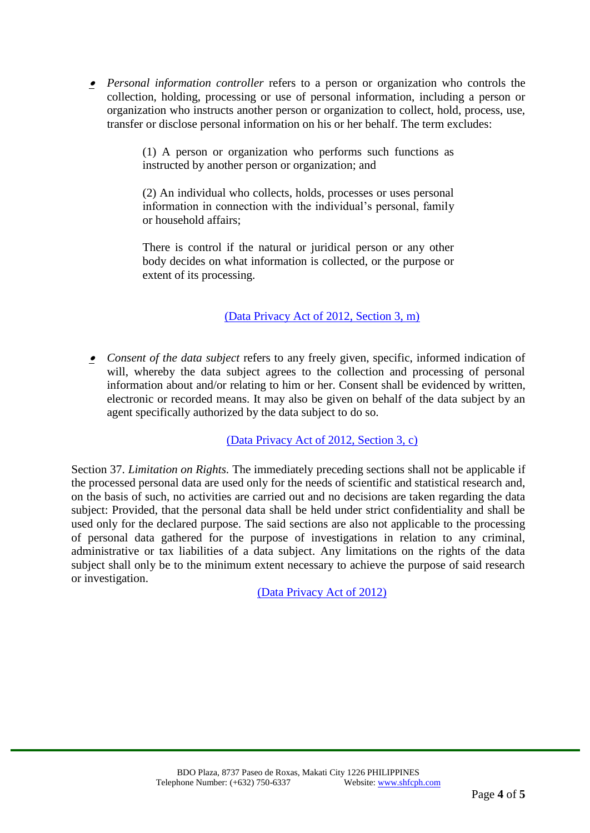*Personal information controller* refers to a person or organization who controls the collection, holding, processing or use of personal information, including a person or organization who instructs another person or organization to collect, hold, process, use, transfer or disclose personal information on his or her behalf. The term excludes:

> (1) A person or organization who performs such functions as instructed by another person or organization; and

> (2) An individual who collects, holds, processes or uses personal information in connection with the individual's personal, family or household affairs;

> There is control if the natural or juridical person or any other body decides on what information is collected, or the purpose or extent of its processing.

## [\(Data Privacy Act of 2012, Section 3, m\)](https://privacy.gov.ph/implementing-rules-and-regulations-of-republic-act-no-10173-known-as-the-data-privacy-act-of-2012/)

 *Consent of the data subject* refers to any freely given, specific, informed indication of will, whereby the data subject agrees to the collection and processing of personal information about and/or relating to him or her. Consent shall be evidenced by written, electronic or recorded means. It may also be given on behalf of the data subject by an agent specifically authorized by the data subject to do so.

[\(Data Privacy Act of 2012, Section 3, c\)](https://privacy.gov.ph/implementing-rules-and-regulations-of-republic-act-no-10173-known-as-the-data-privacy-act-of-2012/)

Section 37. *Limitation on Rights.* The immediately preceding sections shall not be applicable if the processed personal data are used only for the needs of scientific and statistical research and, on the basis of such, no activities are carried out and no decisions are taken regarding the data subject: Provided, that the personal data shall be held under strict confidentiality and shall be used only for the declared purpose. The said sections are also not applicable to the processing of personal data gathered for the purpose of investigations in relation to any criminal, administrative or tax liabilities of a data subject. Any limitations on the rights of the data subject shall only be to the minimum extent necessary to achieve the purpose of said research or investigation.

[\(Data Privacy Act of 2012\)](https://privacy.gov.ph/implementing-rules-and-regulations-of-republic-act-no-10173-known-as-the-data-privacy-act-of-2012/)